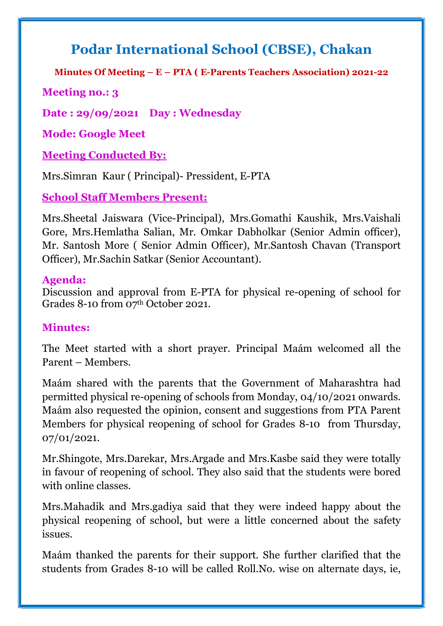## Podar International School (CBSE), Chakan

Minutes Of Meeting – E – PTA ( E-Parents Teachers Association) 2021-22

Meeting no.: 3

Date : 29/09/2021 Day : Wednesday

Mode: Google Meet

Meeting Conducted By:

Mrs.Simran Kaur ( Principal)- Pressident, E-PTA

School Staff Members Present:

Mrs.Sheetal Jaiswara (Vice-Principal), Mrs.Gomathi Kaushik, Mrs.Vaishali Gore, Mrs.Hemlatha Salian, Mr. Omkar Dabholkar (Senior Admin officer), Mr. Santosh More ( Senior Admin Officer), Mr.Santosh Chavan (Transport Officer), Mr.Sachin Satkar (Senior Accountant).

## Agenda:

Discussion and approval from E-PTA for physical re-opening of school for Grades 8-10 from 07th October 2021.

## Minutes:

The Meet started with a short prayer. Principal Maám welcomed all the Parent – Members.

Maám shared with the parents that the Government of Maharashtra had permitted physical re-opening of schools from Monday, 04/10/2021 onwards. Maám also requested the opinion, consent and suggestions from PTA Parent Members for physical reopening of school for Grades 8-10 from Thursday, 07/01/2021.

Mr.Shingote, Mrs.Darekar, Mrs.Argade and Mrs.Kasbe said they were totally in favour of reopening of school. They also said that the students were bored with online classes.

Mrs.Mahadik and Mrs.gadiya said that they were indeed happy about the physical reopening of school, but were a little concerned about the safety issues.

Maám thanked the parents for their support. She further clarified that the students from Grades 8-10 will be called Roll.No. wise on alternate days, ie,